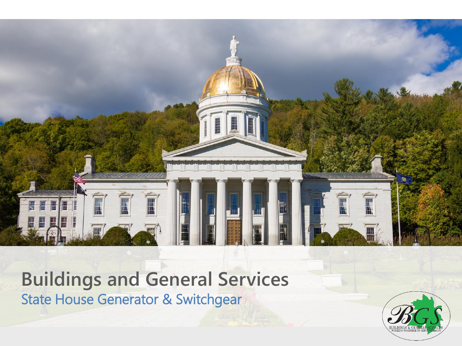

### **Buildings and General Services** State House Generator & Switchgear

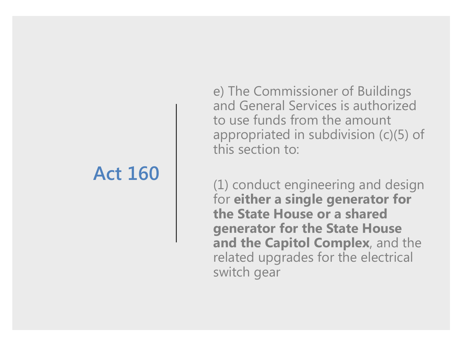### **Act 160**

e) The Commissioner of Buildings and General Services is authorized to use funds from the amount appropriated in subdivision (c)(5) of this section to:

(1) conduct engineering and design for **either a single generator for the State House or a shared generator for the State House and the Capitol Complex**, and the related upgrades for the electrical switch gear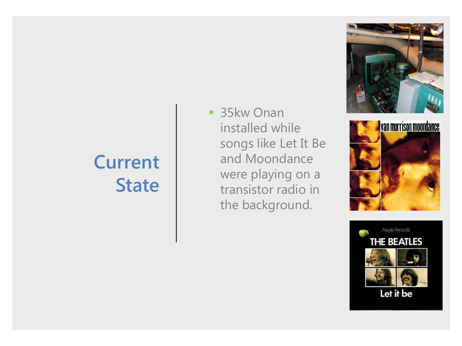## **Current State**

■ 35kw Onan installed while songs like Let It Be and Moondance were playing on a transistor radio in the background.





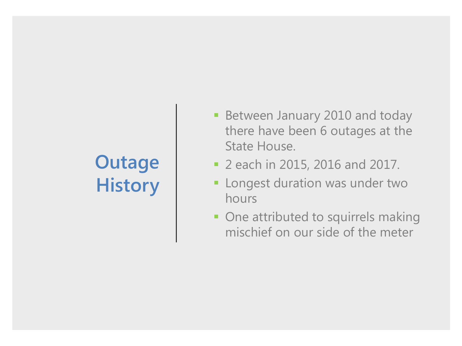# **Outage History**

- **Between January 2010 and today** there have been 6 outages at the State House.
- 2 each in 2015, 2016 and 2017.
- **EXEC** Longest duration was under two hours
- **One attributed to squirrels making** mischief on our side of the meter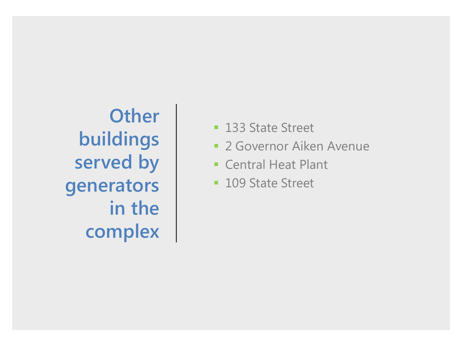**Other buildings served by generators in the complex**

- 133 State Street
- **2 Governor Aiken Avenue**
- Central Heat Plant
- 109 State Street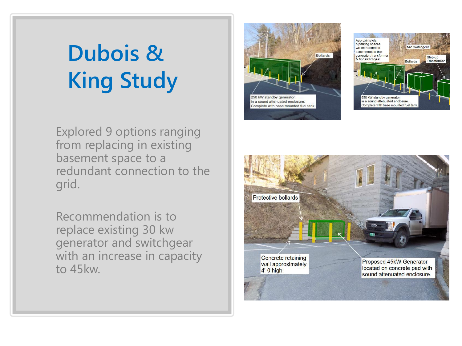# **Dubois & King Study**

Explored 9 options ranging from replacing in existing basement space to a redundant connection to the grid.

Recommendation is to replace existing 30 kw generator and switchgear with an increase in capacity to 45kw.





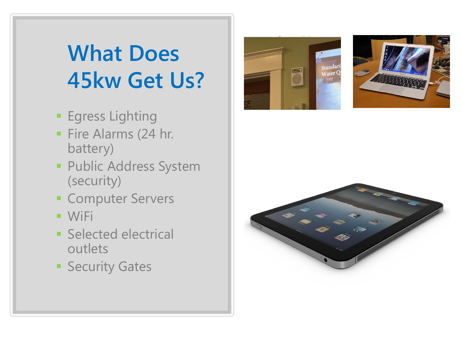# **What Does 45kw Get Us?**

- **Egress Lighting**
- Fire Alarms (24 hr. battery)
- **· Public Address System** (security)
- **E** Computer Servers
- WiFi
- Selected electrical outlets
- **E** Security Gates





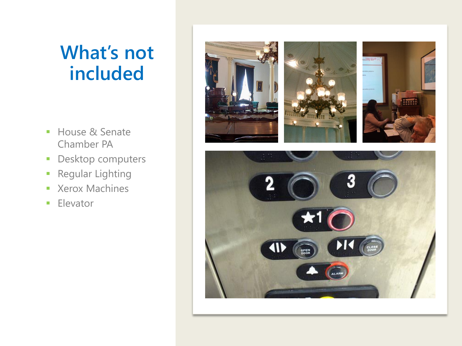### **What's not included**

- House & Senate Chamber PA
- **Desktop computers**
- **Regular Lighting**
- Xerox Machines
- **Elevator**

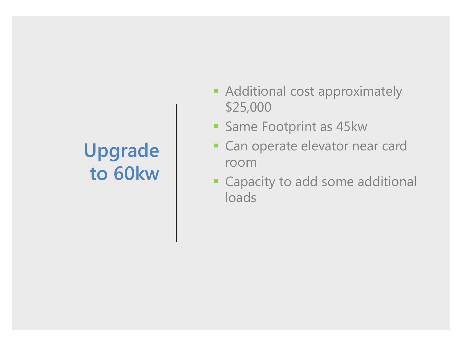# **Upgrade to 60kw**

- **EXADDITIONAL COST ADDITIONAL EXAMPLE ADDITIONAL EXAMPLE A** \$25,000
- **Same Footprint as 45kw**
- **EXEC** Can operate elevator near card room
- **Example: Capacity to add some additional** loads